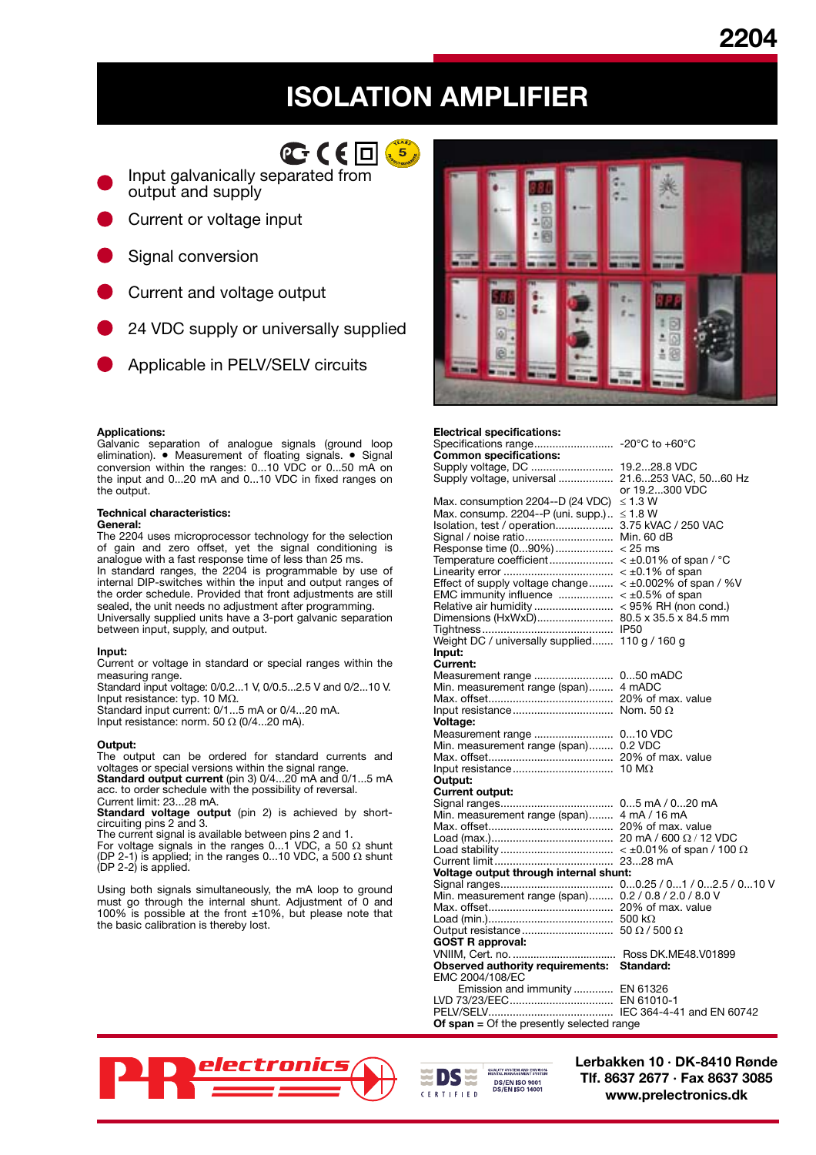# **2204**

# **ISOLATION AMPLIFIER**



Input galvanically separated from output and supply

- Current or voltage input
- Signal conversion
- Current and voltage output
- 24 VDC supply or universally supplied
- Applicable in PELV/SELV circuits

### **Applications:**

Galvanic separation of analogue signals (ground loop elimination). • Measurement of floating signals. • Signal conversion within the ranges: 0...10 VDC or 0...50 mA on the input and 0...20 mA and 0...10 VDC in fixed ranges on the output.

# **Technical characteristics:**

#### **General:**

The 2204 uses microprocessor technology for the selection of gain and zero offset, yet the signal conditioning is analogue with a fast response time of less than 25 ms. In standard ranges, the 2204 is programmable by use of internal DIP-switches within the input and output ranges of

the order schedule. Provided that front adjustments are still sealed, the unit needs no adjustment after programming. Universally supplied units have a 3-port galvanic separation between input, supply, and output.

#### **Input:**

Current or voltage in standard or special ranges within the measuring range.

Standard input voltage: 0/0.2...1 V, 0/0.5...2.5 V and 0/2...10 V. Input resistance: typ. 10 MΩ.

Standard input current: 0/1...5 mA or 0/4...20 mA.

Input resistance: norm. 50  $\Omega$  (0/4...20 mA).

## **Output:**

The output can be ordered for standard currents and voltages or special versions within the signal range. **Standard output current** (pin 3) 0/4...20 mA and 0/1...5 mA

acc. to order schedule with the possibility of reversal. Current limit: 23...28 mA.

**Standard voltage output** (pin 2) is achieved by shortcircuiting pins 2 and 3.

The current signal is available between pins 2 and 1. For voltage signals in the ranges 0...1 VDC, a 50 Ω shunt (DP 2-1) is applied; in the ranges 0...10 VDC, a 500  $\Omega$  shunt (DP 2-2) is applied.

Using both signals simultaneously, the mA loop to ground must go through the internal shunt. Adjustment of 0 and 100% is possible at the front ±10%, but please note that the basic calibration is thereby lost.



#### **Electrical specifications:** Specifications range .......................... -20°C to +60°C **Common specifications:** Supply voltage, DC ........................... 19.2...28.8 VDC Supply voltage, universal .................. 21.6...253 VAC, 50...60 Hz or 19.2...300 VDC Max. consumption 2204--D (24 VDC) ≤ 1.3 W Max. consump. 2204--P (uni. supp.) .. ≤ 1.8 W Isolation, test / operation ................... 3.75 kVAC / 250 VAC Signal / noise ratio ............................. Min. 60 dB Response time (0...90%) ................... < 25 ms Temperature coefficient ..................... < ±0.01% of span / °C Linearity error .................................... < ±0.1% of span Effect of supply voltage change ........  $\lt$  ±0.002% of span / %V EMC immunity influence .................. < ±0.5% of span Relative air humidity .......................... < 95% RH (non cond.) Dimensions (HxWxD) ......................... 80.5 x 35.5 x 84.5 mm Tightness ........................................... IP50 Weight DC / universally supplied....... 110 g / 160 g **Input: Current:** Measurement range .......................... 0...50 mADC Min. measurement range (span) ........ 4 mADC Max. offset ......................................... 20% of max. value Input resistance ................................. Nom. 50 Ω **Voltage:** Measurement range .......................... 0...10 VDC Min. measurement range (span) ........ 0.2 VDC Max. offset ......................................... 20% of max. value Input resistance ................................. 10 MΩ **Output: Current output:** Signal ranges ..................................... 0...5 mA / 0...20 mA Min. measurement range (span) ........ 4 mA / 16 mA Max. offset ......................................... 20% of max. value Load (max.) ........................................ 20 mA / 600 Ω / 12 VDC Load stability ..................................... < ±0.01% of span / 100 Ω Current limit ....................................... 23...28 mA **Voltage output through internal shunt:** Signal ranges ..................................... 0...0.25 / 0...1 / 0...2.5 / 0...10 V Min. measurement range (span) ........ 0.2 / 0.8 / 2.0 / 8.0 V Max. offset ......................................... 20% of max. value Load (min.) ......................................... 500 kΩ Output resistance .............................. 50 Ω / 500 Ω **GOST R approval:** VNIIM, Cert. no. ................................... Ross DK.ME48.V01899 **Observed authority requirements: Standard:** EMC 2004/108/EC Emission and immunity ............. EN 61326 LVD 73/23/EEC .................................. EN 61010-1 PELV/SELV ......................................... IEC 364-4-41 and EN 60742

**PARTIES** 



**Of span =** Of the presently selected range

**Lerbakken 10 · DK-8410 Rønde Tlf. 8637 2677 · Fax 8637 3085 www.prelectronics.dk**